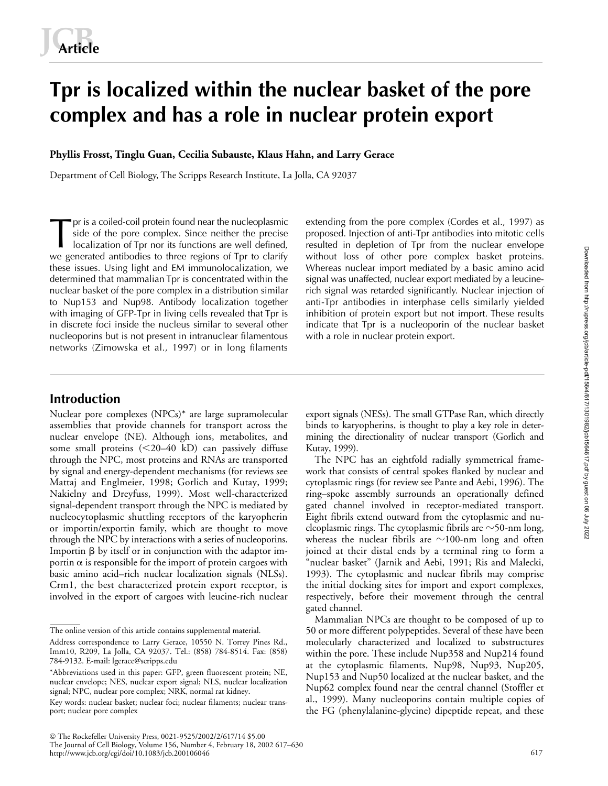# **Tpr is localized within the nuclear basket of the pore complex and has a role in nuclear protein export**

**Phyllis Frosst, Tinglu Guan, Cecilia Subauste, Klaus Hahn, and Larry Gerace**

Department of Cell Biology, The Scripps Research Institute, La Jolla, CA 92037

pr is a coiled-coil protein found near the nucleoplasmic side of the pore complex. Since neither the precise localization of Tpr nor its functions are well defined, we generated antibodies to three regions of Tpr to clarify these issues. Using light and EM immunolocalization, we determined that mammalian Tpr is concentrated within the nuclear basket of the pore complex in a distribution similar to Nup153 and Nup98. Antibody localization together with imaging of GFP-Tpr in living cells revealed that Tpr is in discrete foci inside the nucleus similar to several other nucleoporins but is not present in intranuclear filamentous networks (Zimowska et al., 1997) or in long filaments The priority is a coiled-coil protein found near the nucleoplasmic extending from the pore complex (Cordes et al., 1997) as<br>side of the pore complex. Since neither the precise proposed. Injection of anti-Tpr antibodies int

proposed. Injection of anti-Tpr antibodies into mitotic cells without loss of other pore complex basket proteins. Whereas nuclear import mediated by a basic amino acid signal was unaffected, nuclear export mediated by a leucinerich signal was retarded significantly. Nuclear injection of anti-Tpr antibodies in interphase cells similarly yielded inhibition of protein export but not import. These results indicate that Tpr is a nucleoporin of the nuclear basket with a role in nuclear protein export.

# **Introduction**

Nuclear pore complexes (NPCs)\* are large supramolecular assemblies that provide channels for transport across the nuclear envelope (NE). Although ions, metabolites, and some small proteins (<20–40 kD) can passively diffuse through the NPC, most proteins and RNAs are transported by signal and energy-dependent mechanisms (for reviews see Mattaj and Englmeier, 1998; Gorlich and Kutay, 1999; Nakielny and Dreyfuss, 1999). Most well-characterized signal-dependent transport through the NPC is mediated by nucleocytoplasmic shuttling receptors of the karyopherin or importin/exportin family, which are thought to move through the NPC by interactions with a series of nucleoporins. Importin  $\beta$  by itself or in conjunction with the adaptor importin  $\alpha$  is responsible for the import of protein cargoes with basic amino acid–rich nuclear localization signals (NLSs). Crm1, the best characterized protein export receptor, is involved in the export of cargoes with leucine-rich nuclear export signals (NESs). The small GTPase Ran, which directly binds to karyopherins, is thought to play a key role in determining the directionality of nuclear transport (Gorlich and Kutay, 1999).

The NPC has an eightfold radially symmetrical framework that consists of central spokes flanked by nuclear and cytoplasmic rings (for review see Pante and Aebi, 1996). The ring–spoke assembly surrounds an operationally defined gated channel involved in receptor-mediated transport. Eight fibrils extend outward from the cytoplasmic and nucleoplasmic rings. The cytoplasmic fibrils are  $\sim$ 50-nm long, whereas the nuclear fibrils are  ${\sim}100$ -nm long and often joined at their distal ends by a terminal ring to form a "nuclear basket" (Jarnik and Aebi, 1991; Ris and Malecki, 1993). The cytoplasmic and nuclear fibrils may comprise the initial docking sites for import and export complexes, respectively, before their movement through the central gated channel.

Mammalian NPCs are thought to be composed of up to 50 or more different polypeptides. Several of these have been molecularly characterized and localized to substructures within the pore. These include Nup358 and Nup214 found at the cytoplasmic filaments, Nup98, Nup93, Nup205, Nup153 and Nup50 localized at the nuclear basket, and the Nup62 complex found near the central channel (Stoffler et al., 1999). Many nucleoporins contain multiple copies of the FG (phenylalanine-glycine) dipeptide repeat, and these

617

The online version of this article contains supplemental material.

Address correspondence to Larry Gerace, 10550 N. Torrey Pines Rd., Imm10, R209, La Jolla, CA 92037. Tel.: (858) 784-8514. Fax: (858) 784-9132. E-mail: lgerace@scripps.edu

<sup>\*</sup>Abbreviations used in this paper: GFP, green fluorescent protein; NE, nuclear envelope; NES, nuclear export signal; NLS, nuclear localization signal; NPC, nuclear pore complex; NRK, normal rat kidney.

Key words: nuclear basket; nuclear foci; nuclear filaments; nuclear transport; nuclear pore complex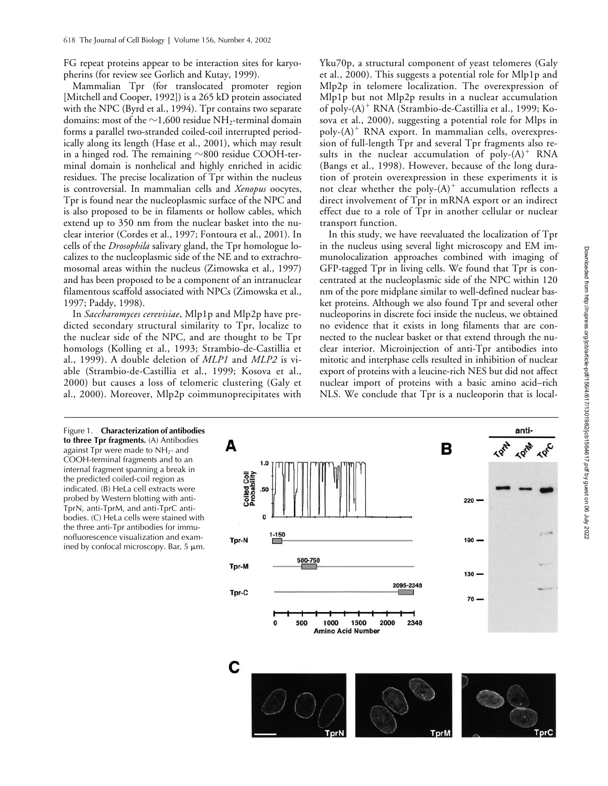FG repeat proteins appear to be interaction sites for karyopherins (for review see Gorlich and Kutay, 1999).

Mammalian Tpr (for translocated promoter region [Mitchell and Cooper, 1992]) is a 265 kD protein associated with the NPC (Byrd et al., 1994). Tpr contains two separate domains: most of the  ${\sim}$ 1,600 residue NH<sub>2</sub>-terminal domain forms a parallel two-stranded coiled-coil interrupted periodically along its length (Hase et al., 2001), which may result in a hinged rod. The remaining  ${\sim}800$  residue COOH-terminal domain is nonhelical and highly enriched in acidic residues. The precise localization of Tpr within the nucleus is controversial. In mammalian cells and *Xenopus* oocytes, Tpr is found near the nucleoplasmic surface of the NPC and is also proposed to be in filaments or hollow cables, which extend up to 350 nm from the nuclear basket into the nuclear interior (Cordes et al., 1997; Fontoura et al., 2001). In cells of the *Drosophila* salivary gland, the Tpr homologue localizes to the nucleoplasmic side of the NE and to extrachromosomal areas within the nucleus (Zimowska et al., 1997) and has been proposed to be a component of an intranuclear filamentous scaffold associated with NPCs (Zimowska et al., 1997; Paddy, 1998).

In *Saccharomyces cerevisiae*, Mlp1p and Mlp2p have predicted secondary structural similarity to Tpr, localize to the nuclear side of the NPC, and are thought to be Tpr homologs (Kolling et al., 1993; Strambio-de-Castillia et al., 1999). A double deletion of *MLP1* and *MLP2* is viable (Strambio-de-Castillia et al., 1999; Kosova et al., 2000) but causes a loss of telomeric clustering (Galy et al., 2000). Moreover, Mlp2p coimmunoprecipitates with Yku70p, a structural component of yeast telomeres (Galy et al., 2000). This suggests a potential role for Mlp1p and Mlp2p in telomere localization. The overexpression of Mlp1p but not Mlp2p results in a nuclear accumulation of poly-(A)<sup>+</sup> RNA (Strambio-de-Castillia et al., 1999; Kosova et al., 2000), suggesting a potential role for Mlps in poly- $(A)^+$  RNA export. In mammalian cells, overexpression of full-length Tpr and several Tpr fragments also results in the nuclear accumulation of poly- $(A)^+$  RNA (Bangs et al., 1998). However, because of the long duration of protein overexpression in these experiments it is not clear whether the poly- $(A)^+$  accumulation reflects a direct involvement of Tpr in mRNA export or an indirect effect due to a role of Tpr in another cellular or nuclear transport function.

In this study, we have reevaluated the localization of Tpr in the nucleus using several light microscopy and EM immunolocalization approaches combined with imaging of GFP-tagged Tpr in living cells. We found that Tpr is concentrated at the nucleoplasmic side of the NPC within 120 nm of the pore midplane similar to well-defined nuclear basket proteins. Although we also found Tpr and several other nucleoporins in discrete foci inside the nucleus, we obtained no evidence that it exists in long filaments that are connected to the nuclear basket or that extend through the nuclear interior. Microinjection of anti-Tpr antibodies into mitotic and interphase cells resulted in inhibition of nuclear export of proteins with a leucine-rich NES but did not affect nuclear import of proteins with a basic amino acid–rich NLS. We conclude that Tpr is a nucleoporin that is local-

Figure 1. **Characterization of antibodies to three Tpr fragments.** (A) Antibodies against Tpr were made to  $NH<sub>2</sub>$ - and COOH-terminal fragments and to an internal fragment spanning a break in the predicted coiled-coil region as indicated. (B) HeLa cell extracts were probed by Western blotting with anti-TprN, anti-TprM, and anti-TprC antibodies. (C) HeLa cells were stained with the three anti-Tpr antibodies for immunofluorescence visualization and examined by confocal microscopy. Bar,  $5 \mu m$ .

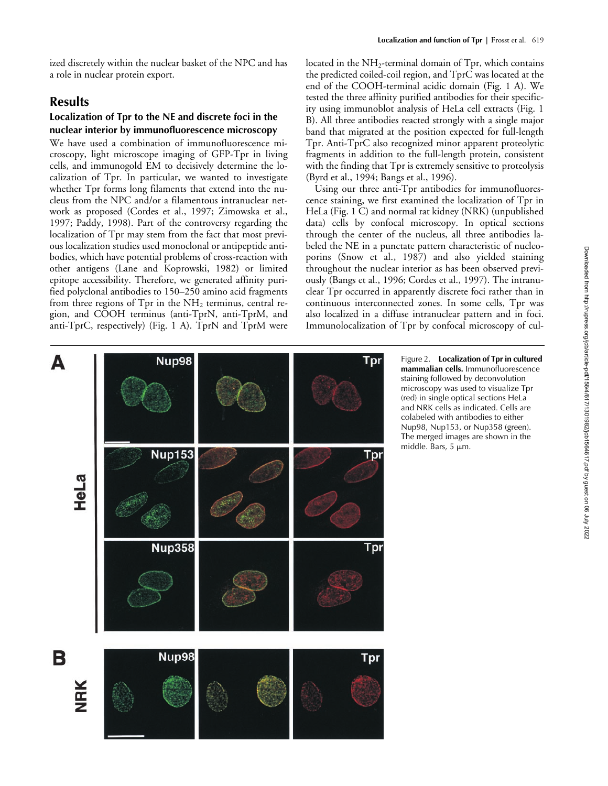ized discretely within the nuclear basket of the NPC and has a role in nuclear protein export.

# **Results**

# **Localization of Tpr to the NE and discrete foci in the nuclear interior by immunofluorescence microscopy**

We have used a combination of immunofluorescence microscopy, light microscope imaging of GFP-Tpr in living cells, and immunogold EM to decisively determine the localization of Tpr. In particular, we wanted to investigate whether Tpr forms long filaments that extend into the nucleus from the NPC and/or a filamentous intranuclear network as proposed (Cordes et al., 1997; Zimowska et al., 1997; Paddy, 1998). Part of the controversy regarding the localization of Tpr may stem from the fact that most previous localization studies used monoclonal or antipeptide antibodies, which have potential problems of cross-reaction with other antigens (Lane and Koprowski, 1982) or limited epitope accessibility. Therefore, we generated affinity purified polyclonal antibodies to 150–250 amino acid fragments from three regions of Tpr in the  $NH<sub>2</sub>$  terminus, central region, and COOH terminus (anti-TprN, anti-TprM, and anti-TprC, respectively) (Fig. 1 A). TprN and TprM were

located in the  $NH<sub>2</sub>$ -terminal domain of Tpr, which contains the predicted coiled-coil region, and TprC was located at the end of the COOH-terminal acidic domain (Fig. 1 A). We tested the three affinity purified antibodies for their specificity using immunoblot analysis of HeLa cell extracts (Fig. 1 B). All three antibodies reacted strongly with a single major band that migrated at the position expected for full-length Tpr. Anti-TprC also recognized minor apparent proteolytic fragments in addition to the full-length protein, consistent with the finding that Tpr is extremely sensitive to proteolysis (Byrd et al., 1994; Bangs et al., 1996).

Using our three anti-Tpr antibodies for immunofluorescence staining, we first examined the localization of Tpr in HeLa (Fig. 1 C) and normal rat kidney (NRK) (unpublished data) cells by confocal microscopy. In optical sections through the center of the nucleus, all three antibodies labeled the NE in a punctate pattern characteristic of nucleoporins (Snow et al., 1987) and also yielded staining throughout the nuclear interior as has been observed previously (Bangs et al., 1996; Cordes et al., 1997). The intranuclear Tpr occurred in apparently discrete foci rather than in continuous interconnected zones. In some cells, Tpr was also localized in a diffuse intranuclear pattern and in foci. Immunolocalization of Tpr by confocal microscopy of cul-



Figure 2. **Localization of Tpr in cultured mammalian cells.** Immunofluorescence staining followed by deconvolution microscopy was used to visualize Tpr (red) in single optical sections HeLa and NRK cells as indicated. Cells are colabeled with antibodies to either Nup98, Nup153, or Nup358 (green). The merged images are shown in the middle. Bars,  $5 \mu m$ .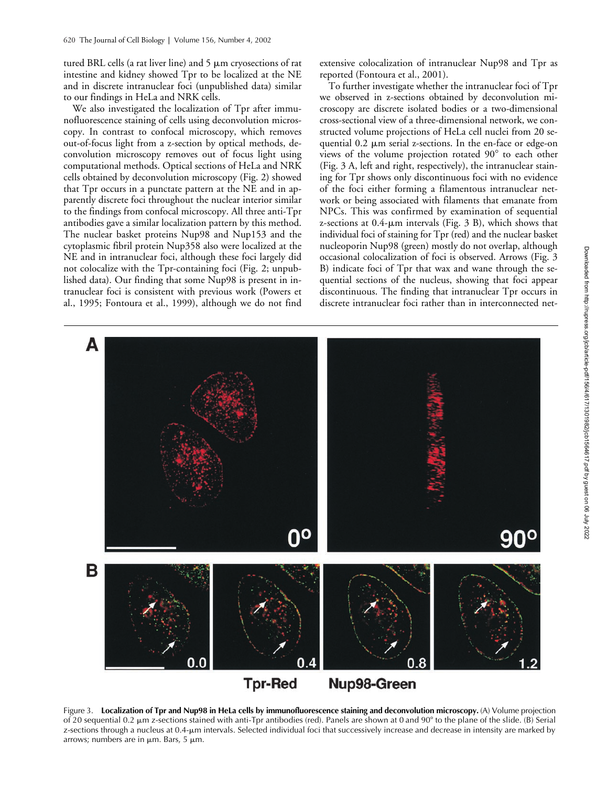tured BRL cells (a rat liver line) and  $5 \mu m$  cryosections of rat intestine and kidney showed Tpr to be localized at the NE and in discrete intranuclear foci (unpublished data) similar to our findings in HeLa and NRK cells.

We also investigated the localization of Tpr after immunofluorescence staining of cells using deconvolution microscopy. In contrast to confocal microscopy, which removes out-of-focus light from a z-section by optical methods, deconvolution microscopy removes out of focus light using computational methods. Optical sections of HeLa and NRK cells obtained by deconvolution microscopy (Fig. 2) showed that Tpr occurs in a punctate pattern at the NE and in apparently discrete foci throughout the nuclear interior similar to the findings from confocal microscopy. All three anti-Tpr antibodies gave a similar localization pattern by this method. The nuclear basket proteins Nup98 and Nup153 and the cytoplasmic fibril protein Nup358 also were localized at the NE and in intranuclear foci, although these foci largely did not colocalize with the Tpr-containing foci (Fig. 2; unpublished data). Our finding that some Nup98 is present in intranuclear foci is consistent with previous work (Powers et al., 1995; Fontoura et al., 1999), although we do not find

extensive colocalization of intranuclear Nup98 and Tpr as reported (Fontoura et al., 2001).

To further investigate whether the intranuclear foci of Tpr we observed in z-sections obtained by deconvolution microscopy are discrete isolated bodies or a two-dimensional cross-sectional view of a three-dimensional network, we constructed volume projections of HeLa cell nuclei from 20 sequential  $0.2 \mu m$  serial z-sections. In the en-face or edge-on views of the volume projection rotated  $90^{\circ}$  to each other (Fig. 3 A, left and right, respectively), the intranuclear staining for Tpr shows only discontinuous foci with no evidence of the foci either forming a filamentous intranuclear network or being associated with filaments that emanate from NPCs. This was confirmed by examination of sequential z-sections at  $0.4$ - $\mu$ m intervals (Fig. 3 B), which shows that individual foci of staining for Tpr (red) and the nuclear basket nucleoporin Nup98 (green) mostly do not overlap, although occasional colocalization of foci is observed. Arrows (Fig. 3 B) indicate foci of Tpr that wax and wane through the sequential sections of the nucleus, showing that foci appear discontinuous. The finding that intranuclear Tpr occurs in discrete intranuclear foci rather than in interconnected net-



Figure 3. Localization of Tpr and Nup98 in HeLa cells by immunofluorescence staining and deconvolution microscopy. (A) Volume projection of 20 sequential 0.2  $\mu$ m z-sections stained with anti-Tpr antibodies (red). Panels are shown at 0 and 90 $^{\circ}$  to the plane of the slide. (B) Serial z-sections through a nucleus at 0.4-m intervals. Selected individual foci that successively increase and decrease in intensity are marked by arrows; numbers are in  $\mu$ m. Bars, 5  $\mu$ m.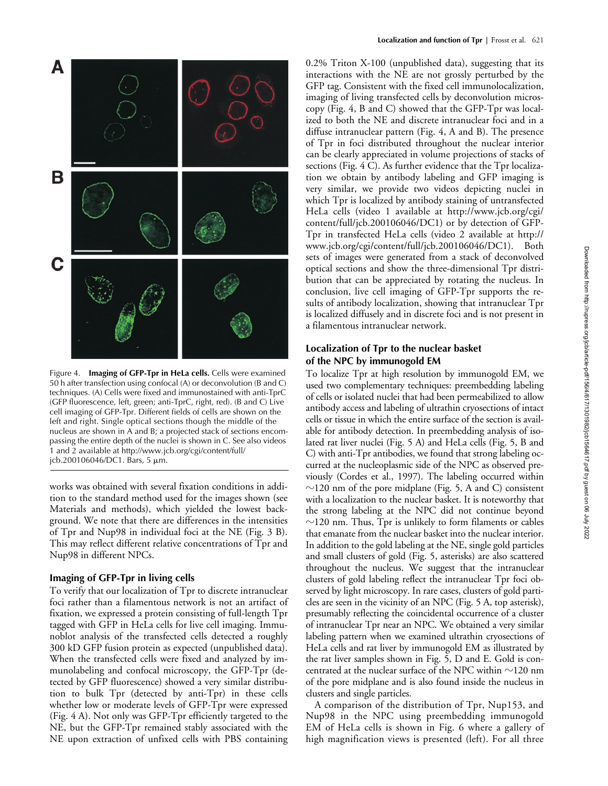

Figure 4. **Imaging of GFP-Tpr in HeLa cells.** Cells were examined 50 h after transfection using confocal (A) or deconvolution (B and C) techniques. (A) Cells were fixed and immunostained with anti-TprC (GFP fluorescence, left, green; anti-TprC, right, red). (B and C) Live cell imaging of GFP-Tpr. Different fields of cells are shown on the left and right. Single optical sections though the middle of the nucleus are shown in A and B; a projected stack of sections encompassing the entire depth of the nuclei is shown in C. See also videos 1 and 2 available at http://www.jcb.org/cgi/content/full/  $jcb.200106046/DC1.$  Bars, 5  $\mu$ m.

works was obtained with several fixation conditions in addition to the standard method used for the images shown (see Materials and methods), which yielded the lowest background. We note that there are differences in the intensities of Tpr and Nup98 in individual foci at the NE (Fig. 3 B). This may reflect different relative concentrations of Tpr and Nup98 in different NPCs.

### **Imaging of GFP-Tpr in living cells**

To verify that our localization of Tpr to discrete intranuclear foci rather than a filamentous network is not an artifact of fixation, we expressed a protein consisting of full-length Tpr tagged with GFP in HeLa cells for live cell imaging. Immunoblot analysis of the transfected cells detected a roughly 300 kD GFP fusion protein as expected (unpublished data). When the transfected cells were fixed and analyzed by immunolabeling and confocal microscopy, the GFP-Tpr (detected by GFP fluorescence) showed a very similar distribution to bulk Tpr (detected by anti-Tpr) in these cells whether low or moderate levels of GFP-Tpr were expressed (Fig. 4 A). Not only was GFP-Tpr efficiently targeted to the NE, but the GFP-Tpr remained stably associated with the NE upon extraction of unfixed cells with PBS containing 0.2% Triton X-100 (unpublished data), suggesting that its interactions with the NE are not grossly perturbed by the GFP tag. Consistent with the fixed cell immunolocalization, imaging of living transfected cells by deconvolution microscopy (Fig. 4, B and C) showed that the GFP-Tpr was localized to both the NE and discrete intranuclear foci and in a diffuse intranuclear pattern (Fig. 4, A and B). The presence of Tpr in foci distributed throughout the nuclear interior can be clearly appreciated in volume projections of stacks of sections (Fig. 4 C). As further evidence that the Tpr localization we obtain by antibody labeling and GFP imaging is very similar, we provide two videos depicting nuclei in which Tpr is localized by antibody staining of untransfected HeLa cells (video 1 available at http://www.jcb.org/cgi/ content/full/jcb.200106046/DC1) or by detection of GFP-Tpr in transfected HeLa cells (video 2 available at http:// www.jcb.org/cgi/content/full/jcb.200106046/DC1). Both sets of images were generated from a stack of deconvolved optical sections and show the three-dimensional Tpr distribution that can be appreciated by rotating the nucleus. In conclusion, live cell imaging of GFP-Tpr supports the results of antibody localization, showing that intranuclear Tpr is localized diffusely and in discrete foci and is not present in a filamentous intranuclear network.

# **Localization of Tpr to the nuclear basket of the NPC by immunogold EM**

To localize Tpr at high resolution by immunogold EM, we used two complementary techniques: preembedding labeling of cells or isolated nuclei that had been permeabilized to allow antibody access and labeling of ultrathin cryosections of intact cells or tissue in which the entire surface of the section is available for antibody detection. In preembedding analysis of isolated rat liver nuclei (Fig. 5 A) and HeLa cells (Fig. 5, B and C) with anti-Tpr antibodies, we found that strong labeling occurred at the nucleoplasmic side of the NPC as observed previously (Cordes et al., 1997). The labeling occurred within  $\sim$ 120 nm of the pore midplane (Fig. 5, A and C) consistent with a localization to the nuclear basket. It is noteworthy that the strong labeling at the NPC did not continue beyond  $\sim$ 120 nm. Thus, Tpr is unlikely to form filaments or cables that emanate from the nuclear basket into the nuclear interior. In addition to the gold labeling at the NE, single gold particles and small clusters of gold (Fig. 5, asterisks) are also scattered throughout the nucleus. We suggest that the intranuclear clusters of gold labeling reflect the intranuclear Tpr foci observed by light microscopy. In rare cases, clusters of gold particles are seen in the vicinity of an NPC (Fig. 5 A, top asterisk), presumably reflecting the coincidental occurrence of a cluster of intranuclear Tpr near an NPC. We obtained a very similar labeling pattern when we examined ultrathin cryosections of HeLa cells and rat liver by immunogold EM as illustrated by the rat liver samples shown in Fig. 5, D and E. Gold is concentrated at the nuclear surface of the NPC within  $\sim$ 120 nm of the pore midplane and is also found inside the nucleus in clusters and single particles.

A comparison of the distribution of Tpr, Nup153, and Nup98 in the NPC using preembedding immunogold EM of HeLa cells is shown in Fig. 6 where a gallery of high magnification views is presented (left). For all three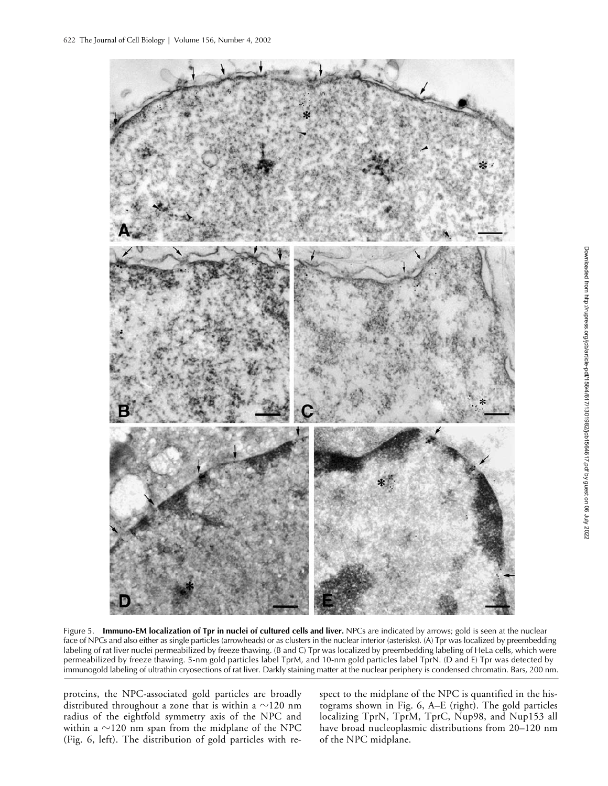

Figure 5. **Immuno-EM localization of Tpr in nuclei of cultured cells and liver.** NPCs are indicated by arrows; gold is seen at the nuclear face of NPCs and also either as single particles (arrowheads) or as clusters in the nuclear interior (asterisks). (A) Tpr was localized by preembedding labeling of rat liver nuclei permeabilized by freeze thawing. (B and C) Tpr was localized by preembedding labeling of HeLa cells, which were permeabilized by freeze thawing. 5-nm gold particles label TprM, and 10-nm gold particles label TprN. (D and E) Tpr was detected by immunogold labeling of ultrathin cryosections of rat liver. Darkly staining matter at the nuclear periphery is condensed chromatin. Bars, 200 nm.

proteins, the NPC-associated gold particles are broadly distributed throughout a zone that is within a  ${\sim}120$  nm radius of the eightfold symmetry axis of the NPC and within a  ${\sim}120$  nm span from the midplane of the NPC (Fig. 6, left). The distribution of gold particles with respect to the midplane of the NPC is quantified in the histograms shown in Fig. 6, A–E (right). The gold particles localizing TprN, TprM, TprC, Nup98, and Nup153 all have broad nucleoplasmic distributions from 20–120 nm of the NPC midplane.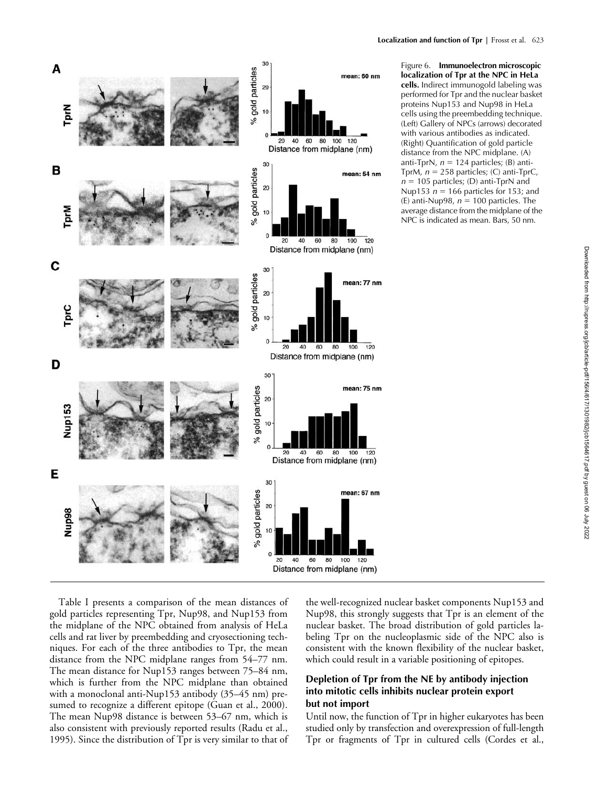

Figure 6. **Immunoelectron microscopic localization of Tpr at the NPC in HeLa cells.** Indirect immunogold labeling was performed for Tpr and the nuclear basket proteins Nup153 and Nup98 in HeLa cells using the preembedding technique. (Left) Gallery of NPCs (arrows) decorated with various antibodies as indicated. (Right) Quantification of gold particle distance from the NPC midplane. (A) anti-TprN,  $n = 124$  particles; (B) anti-TprM,  $n = 258$  particles; (C) anti-TprC,  $n = 105$  particles; (D) anti-TprN and Nup153  $n = 166$  particles for 153; and (E) anti-Nup98,  $n = 100$  particles. The average distance from the midplane of the NPC is indicated as mean. Bars, 50 nm.

Table I presents a comparison of the mean distances of gold particles representing Tpr, Nup98, and Nup153 from the midplane of the NPC obtained from analysis of HeLa cells and rat liver by preembedding and cryosectioning techniques. For each of the three antibodies to Tpr, the mean distance from the NPC midplane ranges from 54–77 nm. The mean distance for Nup153 ranges between 75–84 nm, which is further from the NPC midplane than obtained with a monoclonal anti-Nup153 antibody (35–45 nm) presumed to recognize a different epitope (Guan et al., 2000). The mean Nup98 distance is between 53–67 nm, which is also consistent with previously reported results (Radu et al., 1995). Since the distribution of Tpr is very similar to that of the well-recognized nuclear basket components Nup153 and Nup98, this strongly suggests that Tpr is an element of the nuclear basket. The broad distribution of gold particles labeling Tpr on the nucleoplasmic side of the NPC also is consistent with the known flexibility of the nuclear basket, which could result in a variable positioning of epitopes.

# **Depletion of Tpr from the NE by antibody injection into mitotic cells inhibits nuclear protein export but not import**

Until now, the function of Tpr in higher eukaryotes has been studied only by transfection and overexpression of full-length Tpr or fragments of Tpr in cultured cells (Cordes et al.,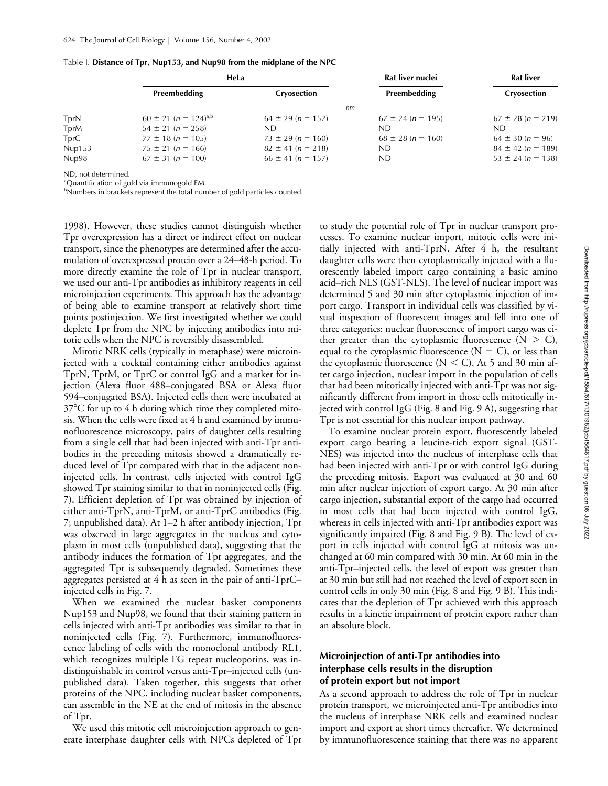|        | HeLa                                 |                       | Rat liver nuclei      | <b>Rat liver</b>      |
|--------|--------------------------------------|-----------------------|-----------------------|-----------------------|
|        | Preembedding                         | Cryosection           | Preembedding          | Cryosection           |
|        | nm                                   |                       |                       |                       |
| TprN   | $60 \pm 21$ (n = 124) <sup>a,b</sup> | $64 \pm 29$ (n = 152) | $67 \pm 24$ (n = 195) | $67 \pm 28$ (n = 219) |
| TprM   | $54 \pm 21$ (n = 258)                | ND.                   | ND.                   | ND.                   |
| TprC   | $77 \pm 18$ (n = 105)                | $73 \pm 29$ (n = 160) | $68 \pm 28$ (n = 160) | $64 \pm 30$ (n = 96)  |
| Nup153 | $75 \pm 21$ (n = 166)                | $82 \pm 41$ (n = 218) | ND.                   | $84 \pm 42$ (n = 189) |
| Nup98  | $67 \pm 31$ (n = 100)                | $66 \pm 41$ (n = 157) | <b>ND</b>             | $53 \pm 24$ (n = 138) |

ND, not determined.

<sup>a</sup>Quantification of gold via immunogold EM.

<sup>b</sup>Numbers in brackets represent the total number of gold particles counted.

1998). However, these studies cannot distinguish whether Tpr overexpression has a direct or indirect effect on nuclear transport, since the phenotypes are determined after the accumulation of overexpressed protein over a 24–48-h period. To more directly examine the role of Tpr in nuclear transport, we used our anti-Tpr antibodies as inhibitory reagents in cell microinjection experiments. This approach has the advantage of being able to examine transport at relatively short time points postinjection. We first investigated whether we could deplete Tpr from the NPC by injecting antibodies into mitotic cells when the NPC is reversibly disassembled.

Mitotic NRK cells (typically in metaphase) were microinjected with a cocktail containing either antibodies against TprN, TprM, or TprC or control IgG and a marker for injection (Alexa fluor 488–conjugated BSA or Alexa fluor 594–conjugated BSA). Injected cells then were incubated at  $37^{\circ}$ C for up to 4 h during which time they completed mitosis. When the cells were fixed at 4 h and examined by immunofluorescence microscopy, pairs of daughter cells resulting from a single cell that had been injected with anti-Tpr antibodies in the preceding mitosis showed a dramatically reduced level of Tpr compared with that in the adjacent noninjected cells. In contrast, cells injected with control IgG showed Tpr staining similar to that in noninjected cells (Fig. 7). Efficient depletion of Tpr was obtained by injection of either anti-TprN, anti-TprM, or anti-TprC antibodies (Fig. 7; unpublished data). At 1–2 h after antibody injection, Tpr was observed in large aggregates in the nucleus and cytoplasm in most cells (unpublished data), suggesting that the antibody induces the formation of Tpr aggregates, and the aggregated Tpr is subsequently degraded. Sometimes these aggregates persisted at 4 h as seen in the pair of anti-TprC– injected cells in Fig. 7.

When we examined the nuclear basket components Nup153 and Nup98, we found that their staining pattern in cells injected with anti-Tpr antibodies was similar to that in noninjected cells (Fig. 7). Furthermore, immunofluorescence labeling of cells with the monoclonal antibody RL1, which recognizes multiple FG repeat nucleoporins, was indistinguishable in control versus anti-Tpr–injected cells (unpublished data). Taken together, this suggests that other proteins of the NPC, including nuclear basket components, can assemble in the NE at the end of mitosis in the absence of Tpr.

We used this mitotic cell microinjection approach to generate interphase daughter cells with NPCs depleted of Tpr

to study the potential role of Tpr in nuclear transport processes. To examine nuclear import, mitotic cells were initially injected with anti-TprN. After 4 h, the resultant daughter cells were then cytoplasmically injected with a fluorescently labeled import cargo containing a basic amino acid–rich NLS (GST-NLS). The level of nuclear import was determined 5 and 30 min after cytoplasmic injection of import cargo. Transport in individual cells was classified by visual inspection of fluorescent images and fell into one of three categories: nuclear fluorescence of import cargo was either greater than the cytoplasmic fluorescence  $(N > C)$ , equal to the cytoplasmic fluorescence  $(N = C)$ , or less than the cytoplasmic fluorescence ( $N < C$ ). At 5 and 30 min after cargo injection, nuclear import in the population of cells that had been mitotically injected with anti-Tpr was not significantly different from import in those cells mitotically injected with control IgG (Fig. 8 and Fig. 9 A), suggesting that Tpr is not essential for this nuclear import pathway.

To examine nuclear protein export, fluorescently labeled export cargo bearing a leucine-rich export signal (GST-NES) was injected into the nucleus of interphase cells that had been injected with anti-Tpr or with control IgG during the preceding mitosis. Export was evaluated at 30 and 60 min after nuclear injection of export cargo. At 30 min after cargo injection, substantial export of the cargo had occurred in most cells that had been injected with control IgG, whereas in cells injected with anti-Tpr antibodies export was significantly impaired (Fig. 8 and Fig. 9 B). The level of export in cells injected with control IgG at mitosis was unchanged at 60 min compared with 30 min. At 60 min in the anti-Tpr–injected cells, the level of export was greater than at 30 min but still had not reached the level of export seen in control cells in only 30 min (Fig. 8 and Fig. 9 B). This indicates that the depletion of Tpr achieved with this approach results in a kinetic impairment of protein export rather than an absolute block.

### **Microinjection of anti-Tpr antibodies into interphase cells results in the disruption of protein export but not import**

As a second approach to address the role of Tpr in nuclear protein transport, we microinjected anti-Tpr antibodies into the nucleus of interphase NRK cells and examined nuclear import and export at short times thereafter. We determined by immunofluorescence staining that there was no apparent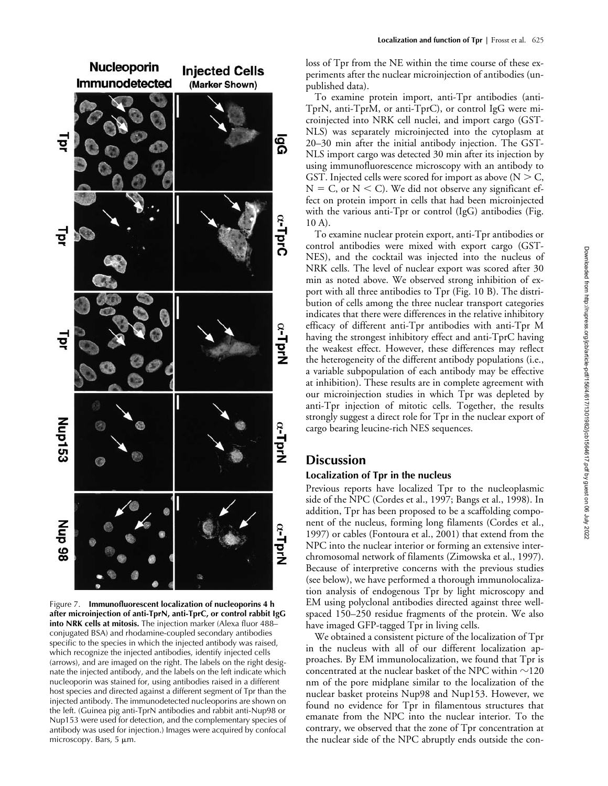

Figure 7. **Immunofluorescent localization of nucleoporins 4 h after microinjection of anti-TprN, anti-TprC, or control rabbit IgG into NRK cells at mitosis.** The injection marker (Alexa fluor 488– conjugated BSA) and rhodamine-coupled secondary antibodies specific to the species in which the injected antibody was raised, which recognize the injected antibodies, identify injected cells (arrows), and are imaged on the right. The labels on the right designate the injected antibody, and the labels on the left indicate which nucleoporin was stained for, using antibodies raised in a different host species and directed against a different segment of Tpr than the injected antibody. The immunodetected nucleoporins are shown on the left. (Guinea pig anti-TprN antibodies and rabbit anti-Nup98 or Nup153 were used for detection, and the complementary species of antibody was used for injection.) Images were acquired by confocal microscopy. Bars, 5  $\mu$ m.

loss of Tpr from the NE within the time course of these experiments after the nuclear microinjection of antibodies (unpublished data).

To examine protein import, anti-Tpr antibodies (anti-TprN, anti-TprM, or anti-TprC), or control IgG were microinjected into NRK cell nuclei, and import cargo (GST-NLS) was separately microinjected into the cytoplasm at 20–30 min after the initial antibody injection. The GST-NLS import cargo was detected 30 min after its injection by using immunofluorescence microscopy with an antibody to GST. Injected cells were scored for import as above ( $N > C$ ,  $N = C$ , or  $N < C$ ). We did not observe any significant effect on protein import in cells that had been microinjected with the various anti-Tpr or control (IgG) antibodies (Fig. 10 A).

To examine nuclear protein export, anti-Tpr antibodies or control antibodies were mixed with export cargo (GST-NES), and the cocktail was injected into the nucleus of NRK cells. The level of nuclear export was scored after 30 min as noted above. We observed strong inhibition of export with all three antibodies to Tpr (Fig. 10 B). The distribution of cells among the three nuclear transport categories indicates that there were differences in the relative inhibitory efficacy of different anti-Tpr antibodies with anti-Tpr M having the strongest inhibitory effect and anti-TprC having the weakest effect. However, these differences may reflect the heterogeneity of the different antibody populations (i.e., a variable subpopulation of each antibody may be effective at inhibition). These results are in complete agreement with our microinjection studies in which Tpr was depleted by anti-Tpr injection of mitotic cells. Together, the results strongly suggest a direct role for Tpr in the nuclear export of cargo bearing leucine-rich NES sequences.

# **Discussion**

# **Localization of Tpr in the nucleus**

Previous reports have localized Tpr to the nucleoplasmic side of the NPC (Cordes et al., 1997; Bangs et al., 1998). In addition, Tpr has been proposed to be a scaffolding component of the nucleus, forming long filaments (Cordes et al., 1997) or cables (Fontoura et al., 2001) that extend from the NPC into the nuclear interior or forming an extensive interchromosomal network of filaments (Zimowska et al., 1997). Because of interpretive concerns with the previous studies (see below), we have performed a thorough immunolocalization analysis of endogenous Tpr by light microscopy and EM using polyclonal antibodies directed against three wellspaced 150–250 residue fragments of the protein. We also have imaged GFP-tagged Tpr in living cells.

We obtained a consistent picture of the localization of Tpr in the nucleus with all of our different localization approaches. By EM immunolocalization, we found that Tpr is concentrated at the nuclear basket of the NPC within  ${\sim}$ 120 nm of the pore midplane similar to the localization of the nuclear basket proteins Nup98 and Nup153. However, we found no evidence for Tpr in filamentous structures that emanate from the NPC into the nuclear interior. To the contrary, we observed that the zone of Tpr concentration at the nuclear side of the NPC abruptly ends outside the con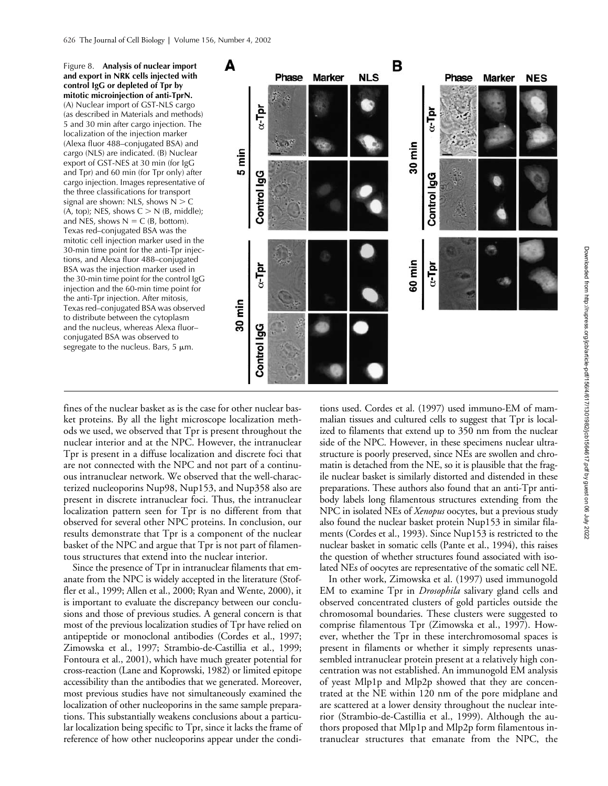Figure 8. **Analysis of nuclear import and export in NRK cells injected with control IgG or depleted of Tpr by mitotic microinjection of anti-TprN.** (A) Nuclear import of GST-NLS cargo (as described in Materials and methods) 5 and 30 min after cargo injection. The localization of the injection marker (Alexa fluor 488–conjugated BSA) and cargo (NLS) are indicated. (B) Nuclear export of GST-NES at 30 min (for IgG and Tpr) and 60 min (for Tpr only) after cargo injection. Images representative of the three classifications for transport signal are shown: NLS, shows  $N > C$  $(A, top)$ ; NES, shows  $C > N$  (B, middle); and NES, shows  $N = C$  (B, bottom). Texas red–conjugated BSA was the mitotic cell injection marker used in the 30-min time point for the anti-Tpr injections, and Alexa fluor 488–conjugated BSA was the injection marker used in the 30-min time point for the control IgG injection and the 60-min time point for the anti-Tpr injection. After mitosis, Texas red–conjugated BSA was observed to distribute between the cytoplasm and the nucleus, whereas Alexa fluor– conjugated BSA was observed to segregate to the nucleus. Bars,  $5 \mu m$ .



fines of the nuclear basket as is the case for other nuclear basket proteins. By all the light microscope localization methods we used, we observed that Tpr is present throughout the nuclear interior and at the NPC. However, the intranuclear Tpr is present in a diffuse localization and discrete foci that are not connected with the NPC and not part of a continuous intranuclear network. We observed that the well-characterized nucleoporins Nup98, Nup153, and Nup358 also are present in discrete intranuclear foci. Thus, the intranuclear localization pattern seen for Tpr is no different from that observed for several other NPC proteins. In conclusion, our results demonstrate that Tpr is a component of the nuclear basket of the NPC and argue that Tpr is not part of filamentous structures that extend into the nuclear interior.

Since the presence of Tpr in intranuclear filaments that emanate from the NPC is widely accepted in the literature (Stoffler et al., 1999; Allen et al., 2000; Ryan and Wente, 2000), it is important to evaluate the discrepancy between our conclusions and those of previous studies. A general concern is that most of the previous localization studies of Tpr have relied on antipeptide or monoclonal antibodies (Cordes et al., 1997; Zimowska et al., 1997; Strambio-de-Castillia et al., 1999; Fontoura et al., 2001), which have much greater potential for cross-reaction (Lane and Koprowski, 1982) or limited epitope accessibility than the antibodies that we generated. Moreover, most previous studies have not simultaneously examined the localization of other nucleoporins in the same sample preparations. This substantially weakens conclusions about a particular localization being specific to Tpr, since it lacks the frame of reference of how other nucleoporins appear under the condi-

tions used. Cordes et al. (1997) used immuno-EM of mammalian tissues and cultured cells to suggest that Tpr is localized to filaments that extend up to 350 nm from the nuclear side of the NPC. However, in these specimens nuclear ultrastructure is poorly preserved, since NEs are swollen and chromatin is detached from the NE, so it is plausible that the fragile nuclear basket is similarly distorted and distended in these preparations. These authors also found that an anti-Tpr antibody labels long filamentous structures extending from the NPC in isolated NEs of *Xenopus* oocytes, but a previous study also found the nuclear basket protein Nup153 in similar filaments (Cordes et al., 1993). Since Nup153 is restricted to the nuclear basket in somatic cells (Pante et al., 1994), this raises the question of whether structures found associated with isolated NEs of oocytes are representative of the somatic cell NE.

In other work, Zimowska et al. (1997) used immunogold EM to examine Tpr in *Drosophila* salivary gland cells and observed concentrated clusters of gold particles outside the chromosomal boundaries. These clusters were suggested to comprise filamentous Tpr (Zimowska et al., 1997). However, whether the Tpr in these interchromosomal spaces is present in filaments or whether it simply represents unassembled intranuclear protein present at a relatively high concentration was not established. An immunogold EM analysis of yeast Mlp1p and Mlp2p showed that they are concentrated at the NE within 120 nm of the pore midplane and are scattered at a lower density throughout the nuclear interior (Strambio-de-Castillia et al., 1999). Although the authors proposed that Mlp1p and Mlp2p form filamentous intranuclear structures that emanate from the NPC, the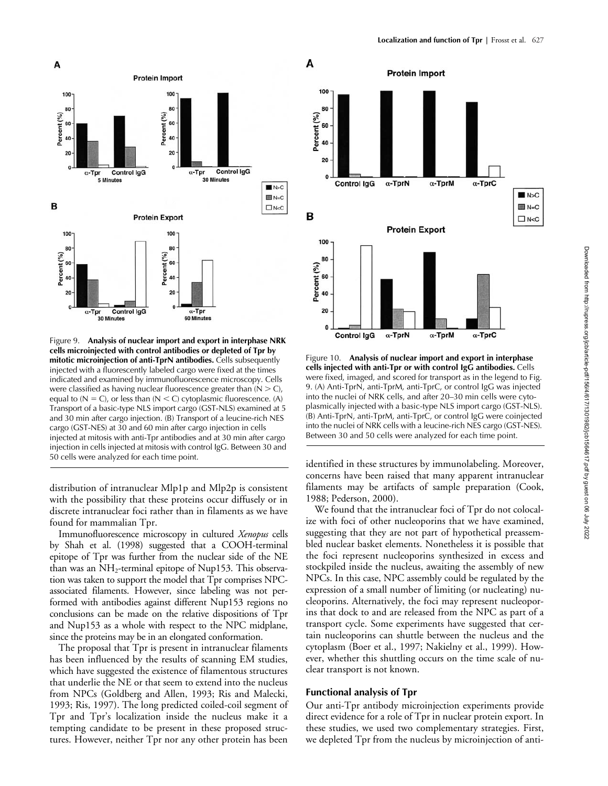

Figure 9. **Analysis of nuclear import and export in interphase NRK cells microinjected with control antibodies or depleted of Tpr by mitotic microinjection of anti-TprN antibodies.** Cells subsequently injected with a fluorescently labeled cargo were fixed at the times indicated and examined by immunofluorescence microscopy. Cells were classified as having nuclear fluorescence greater than  $(N > C)$ , equal to  $(N = C)$ , or less than  $(N < C)$  cytoplasmic fluorescence.  $(A)$ Transport of a basic-type NLS import cargo (GST-NLS) examined at 5 and 30 min after cargo injection. (B) Transport of a leucine-rich NES cargo (GST-NES) at 30 and 60 min after cargo injection in cells injected at mitosis with anti-Tpr antibodies and at 30 min after cargo injection in cells injected at mitosis with control IgG. Between 30 and 50 cells were analyzed for each time point.

distribution of intranuclear Mlp1p and Mlp2p is consistent with the possibility that these proteins occur diffusely or in discrete intranuclear foci rather than in filaments as we have found for mammalian Tpr.

Immunofluorescence microscopy in cultured *Xenopus* cells by Shah et al. (1998) suggested that a COOH-terminal epitope of Tpr was further from the nuclear side of the NE than was an  $NH_2$ -terminal epitope of Nup153. This observation was taken to support the model that Tpr comprises NPCassociated filaments. However, since labeling was not performed with antibodies against different Nup153 regions no conclusions can be made on the relative dispositions of Tpr and Nup153 as a whole with respect to the NPC midplane, since the proteins may be in an elongated conformation.

The proposal that Tpr is present in intranuclear filaments has been influenced by the results of scanning EM studies, which have suggested the existence of filamentous structures that underlie the NE or that seem to extend into the nucleus from NPCs (Goldberg and Allen, 1993; Ris and Malecki, 1993; Ris, 1997). The long predicted coiled-coil segment of Tpr and Tpr's localization inside the nucleus make it a tempting candidate to be present in these proposed structures. However, neither Tpr nor any other protein has been



Figure 10. **Analysis of nuclear import and export in interphase cells injected with anti-Tpr or with control IgG antibodies.** Cells were fixed, imaged, and scored for transport as in the legend to Fig. 9. (A) Anti-TprN, anti-TprM, anti-TprC, or control IgG was injected into the nuclei of NRK cells, and after 20–30 min cells were cytoplasmically injected with a basic-type NLS import cargo (GST-NLS). (B) Anti-TprN, anti-TprM, anti-TprC, or control IgG were coinjected into the nuclei of NRK cells with a leucine-rich NES cargo (GST-NES). Between 30 and 50 cells were analyzed for each time point.

identified in these structures by immunolabeling. Moreover, concerns have been raised that many apparent intranuclear filaments may be artifacts of sample preparation (Cook, 1988; Pederson, 2000).

We found that the intranuclear foci of Tpr do not colocalize with foci of other nucleoporins that we have examined, suggesting that they are not part of hypothetical preassembled nuclear basket elements. Nonetheless it is possible that the foci represent nucleoporins synthesized in excess and stockpiled inside the nucleus, awaiting the assembly of new NPCs. In this case, NPC assembly could be regulated by the expression of a small number of limiting (or nucleating) nucleoporins. Alternatively, the foci may represent nucleoporins that dock to and are released from the NPC as part of a transport cycle. Some experiments have suggested that certain nucleoporins can shuttle between the nucleus and the cytoplasm (Boer et al., 1997; Nakielny et al., 1999). However, whether this shuttling occurs on the time scale of nuclear transport is not known.

### **Functional analysis of Tpr**

Our anti-Tpr antibody microinjection experiments provide direct evidence for a role of Tpr in nuclear protein export. In these studies, we used two complementary strategies. First, we depleted Tpr from the nucleus by microinjection of anti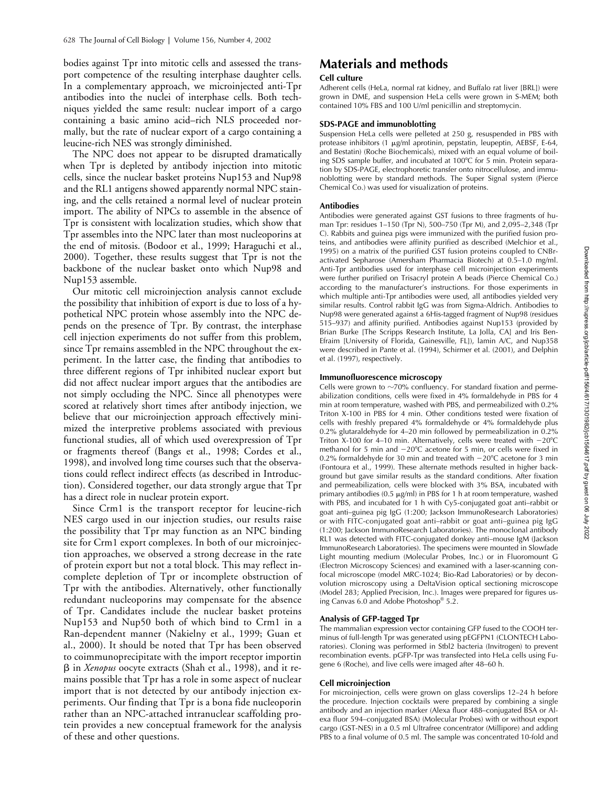bodies against Tpr into mitotic cells and assessed the transport competence of the resulting interphase daughter cells. In a complementary approach, we microinjected anti-Tpr antibodies into the nuclei of interphase cells. Both techniques yielded the same result: nuclear import of a cargo containing a basic amino acid–rich NLS proceeded normally, but the rate of nuclear export of a cargo containing a leucine-rich NES was strongly diminished.

The NPC does not appear to be disrupted dramatically when Tpr is depleted by antibody injection into mitotic cells, since the nuclear basket proteins Nup153 and Nup98 and the RL1 antigens showed apparently normal NPC staining, and the cells retained a normal level of nuclear protein import. The ability of NPCs to assemble in the absence of Tpr is consistent with localization studies, which show that Tpr assembles into the NPC later than most nucleoporins at the end of mitosis. (Bodoor et al., 1999; Haraguchi et al., 2000). Together, these results suggest that Tpr is not the backbone of the nuclear basket onto which Nup98 and Nup153 assemble.

Our mitotic cell microinjection analysis cannot exclude the possibility that inhibition of export is due to loss of a hypothetical NPC protein whose assembly into the NPC depends on the presence of Tpr. By contrast, the interphase cell injection experiments do not suffer from this problem, since Tpr remains assembled in the NPC throughout the experiment. In the latter case, the finding that antibodies to three different regions of Tpr inhibited nuclear export but did not affect nuclear import argues that the antibodies are not simply occluding the NPC. Since all phenotypes were scored at relatively short times after antibody injection, we believe that our microinjection approach effectively minimized the interpretive problems associated with previous functional studies, all of which used overexpression of Tpr or fragments thereof (Bangs et al., 1998; Cordes et al., 1998), and involved long time courses such that the observations could reflect indirect effects (as described in Introduction). Considered together, our data strongly argue that Tpr has a direct role in nuclear protein export.

Since Crm1 is the transport receptor for leucine-rich NES cargo used in our injection studies, our results raise the possibility that Tpr may function as an NPC binding site for Crm1 export complexes. In both of our microinjection approaches, we observed a strong decrease in the rate of protein export but not a total block. This may reflect incomplete depletion of Tpr or incomplete obstruction of Tpr with the antibodies. Alternatively, other functionally redundant nucleoporins may compensate for the absence of Tpr. Candidates include the nuclear basket proteins Nup153 and Nup50 both of which bind to Crm1 in a Ran-dependent manner (Nakielny et al., 1999; Guan et al., 2000). It should be noted that Tpr has been observed to coimmunoprecipitate with the import receptor importin β in *Xenopus* oocyte extracts (Shah et al., 1998), and it remains possible that Tpr has a role in some aspect of nuclear import that is not detected by our antibody injection experiments. Our finding that Tpr is a bona fide nucleoporin rather than an NPC-attached intranuclear scaffolding protein provides a new conceptual framework for the analysis of these and other questions.

# **Materials and methods**

### **Cell culture**

Adherent cells (HeLa, normal rat kidney, and Buffalo rat liver [BRL]) were grown in DME, and suspension HeLa cells were grown in S-MEM; both contained 10% FBS and 100 U/ml penicillin and streptomycin.

### **SDS-PAGE and immunoblotting**

Suspension HeLa cells were pelleted at 250 g, resuspended in PBS with protease inhibitors (1 µg/ml aprotinin, pepstatin, leupeptin, AEBSF, E-64, and Bestatin) (Roche Biochemicals), mixed with an equal volume of boiling SDS sample buffer, and incubated at 100°C for 5 min. Protein separation by SDS-PAGE, electrophoretic transfer onto nitrocellulose, and immunoblotting were by standard methods. The Super Signal system (Pierce Chemical Co.) was used for visualization of proteins.

### **Antibodies**

Antibodies were generated against GST fusions to three fragments of human Tpr: residues 1–150 (Tpr N), 500–750 (Tpr M), and 2,095–2,348 (Tpr C). Rabbits and guinea pigs were immunized with the purified fusion proteins, and antibodies were affinity purified as described (Melchior et al., 1995) on a matrix of the purified GST fusion proteins coupled to CNBractivated Sepharose (Amersham Pharmacia Biotech) at 0.5–1.0 mg/ml. Anti-Tpr antibodies used for interphase cell microinjection experiments were further purified on Trisacryl protein A beads (Pierce Chemical Co.) according to the manufacturer's instructions. For those experiments in which multiple anti-Tpr antibodies were used, all antibodies yielded very similar results. Control rabbit IgG was from Sigma-Aldrich. Antibodies to Nup98 were generated against a 6His-tagged fragment of Nup98 (residues 515–937) and affinity purified. Antibodies against Nup153 (provided by Brian Burke [The Scripps Research Institute, La Jolla, CA] and Iris Ben-Efraim [University of Florida, Gainesville, FL]), lamin A/C, and Nup358 were described in Pante et al. (1994), Schirmer et al. (2001), and Delphin et al. (1997), respectively.

### **Immunofluorescence microscopy**

Cells were grown to  $\sim$ 70% confluency. For standard fixation and permeabilization conditions, cells were fixed in 4% formaldehyde in PBS for 4 min at room temperature, washed with PBS, and permeabilized with 0.2% Triton X-100 in PBS for 4 min. Other conditions tested were fixation of cells with freshly prepared 4% formaldehyde or 4% formaldehyde plus 0.2% glutaraldehyde for 4–20 min followed by permeabilization in 0.2% Triton X-100 for  $4-10$  min. Alternatively, cells were treated with  $-20^{\circ}$ C methanol for 5 min and  $-20^{\circ}$ C acetone for 5 min, or cells were fixed in 0.2% formaldehyde for 30 min and treated with  $-20^{\circ}$ C acetone for 3 min (Fontoura et al., 1999). These alternate methods resulted in higher background but gave similar results as the standard conditions. After fixation and permeabilization, cells were blocked with 3% BSA, incubated with primary antibodies (0.5  $\mu$ g/ml) in PBS for 1 h at room temperature, washed with PBS, and incubated for 1 h with Cy5-conjugated goat anti–rabbit or goat anti–guinea pig IgG (1:200; Jackson ImmunoResearch Laboratories) or with FITC-conjugated goat anti–rabbit or goat anti–guinea pig IgG (1:200; Jackson ImmunoResearch Laboratories). The monoclonal antibody RL1 was detected with FITC-conjugated donkey anti–mouse IgM (Jackson ImmunoResearch Laboratories). The specimens were mounted in Slowfade Light mounting medium (Molecular Probes, Inc.) or in Fluoromount G (Electron Microscopy Sciences) and examined with a laser-scanning confocal microscope (model MRC-1024; Bio-Rad Laboratories) or by deconvolution microscopy using a DeltaVision optical sectioning microscope (Model 283; Applied Precision, Inc.). Images were prepared for figures using Canvas 6.0 and Adobe Photoshop® 5.2.

### **Analysis of GFP-tagged Tpr**

The mammalian expression vector containing GFP fused to the COOH terminus of full-length Tpr was generated using pEGFPN1 (CLONTECH Laboratories). Cloning was performed in Stbl2 bacteria (Invitrogen) to prevent recombination events. pGFP-Tpr was transfected into HeLa cells using Fugene 6 (Roche), and live cells were imaged after 48–60 h.

### **Cell microinjection**

For microinjection, cells were grown on glass coverslips 12–24 h before the procedure. Injection cocktails were prepared by combining a single antibody and an injection marker (Alexa fluor 488–conjugated BSA or Alexa fluor 594–conjugated BSA) (Molecular Probes) with or without export cargo (GST-NES) in a 0.5 ml Ultrafree concentrator (Millipore) and adding PBS to a final volume of 0.5 ml. The sample was concentrated 10-fold and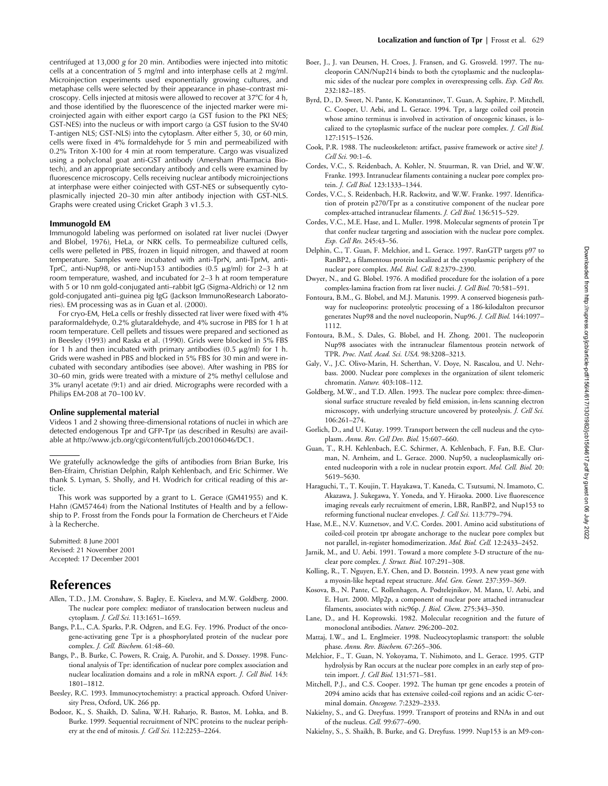centrifuged at 13,000 *g* for 20 min. Antibodies were injected into mitotic cells at a concentration of 5 mg/ml and into interphase cells at 2 mg/ml. Microinjection experiments used exponentially growing cultures, and metaphase cells were selected by their appearance in phase–contrast microscopy. Cells injected at mitosis were allowed to recover at 37°C for 4 h, and those identified by the fluorescence of the injected marker were microinjected again with either export cargo (a GST fusion to the PKI NES; GST-NES) into the nucleus or with import cargo (a GST fusion to the SV40 T-antigen NLS; GST-NLS) into the cytoplasm. After either 5, 30, or 60 min, cells were fixed in 4% formaldehyde for 5 min and permeabilized with 0.2% Triton X-100 for 4 min at room temperature. Cargo was visualized using a polyclonal goat anti-GST antibody (Amersham Pharmacia Biotech), and an appropriate secondary antibody and cells were examined by fluorescence microscopy. Cells receiving nuclear antibody microinjections at interphase were either coinjected with GST-NES or subsequently cytoplasmically injected 20–30 min after antibody injection with GST-NLS. Graphs were created using Cricket Graph 3 v1.5.3.

### **Immunogold EM**

Immunogold labeling was performed on isolated rat liver nuclei (Dwyer and Blobel, 1976), HeLa, or NRK cells. To permeabilize cultured cells, cells were pelleted in PBS, frozen in liquid nitrogen, and thawed at room temperature. Samples were incubated with anti-TprN, anti-TprM, anti-TprC, anti-Nup98, or anti-Nup153 antibodies  $(0.5 \text{ µg/ml})$  for 2-3 h at room temperature, washed, and incubated for 2–3 h at room temperature with 5 or 10 nm gold-conjugated anti–rabbit IgG (Sigma-Aldrich) or 12 nm gold-conjugated anti–guinea pig IgG (Jackson ImmunoResearch Laboratories). EM processing was as in Guan et al. (2000).

For cryo-EM, HeLa cells or freshly dissected rat liver were fixed with 4% paraformaldehyde, 0.2% glutaraldehyde, and 4% sucrose in PBS for 1 h at room temperature. Cell pellets and tissues were prepared and sectioned as in Beesley (1993) and Raska et al. (1990). Grids were blocked in 5% FBS for 1 h and then incubated with primary antibodies (0.5  $\mu$ g/ml) for 1 h. Grids were washed in PBS and blocked in 5% FBS for 30 min and were incubated with secondary antibodies (see above). After washing in PBS for 30–60 min, grids were treated with a mixture of 2% methyl cellulose and 3% uranyl acetate (9:1) and air dried. Micrographs were recorded with a Philips EM-208 at 70–100 kV.

#### **Online supplemental material**

Videos 1 and 2 showing three-dimensional rotations of nuclei in which are detected endogenous Tpr and GFP-Tpr (as described in Results) are available at http://www.jcb.org/cgi/content/full/jcb.200106046/DC1.

We gratefully acknowledge the gifts of antibodies from Brian Burke, Iris Ben-Efraim, Christian Delphin, Ralph Kehlenbach, and Eric Schirmer. We thank S. Lyman, S. Sholly, and H. Wodrich for critical reading of this article.

This work was supported by a grant to L. Gerace (GM41955) and K. Hahn (GM57464) from the National Institutes of Health and by a fellowship to P. Frosst from the Fonds pour la Formation de Chercheurs et l'Aide à la Recherche.

Submitted: 8 June 2001 Revised: 21 November 2001 Accepted: 17 December 2001

# **References**

- Allen, T.D., J.M. Cronshaw, S. Bagley, E. Kiseleva, and M.W. Goldberg. 2000. The nuclear pore complex: mediator of translocation between nucleus and cytoplasm. *J. Cell Sci.* 113:1651–1659.
- Bangs, P.L., C.A. Sparks, P.R. Odgren, and E.G. Fey. 1996. Product of the oncogene-activating gene Tpr is a phosphorylated protein of the nuclear pore complex. *J. Cell. Biochem.* 61:48–60.
- Bangs, P., B. Burke, C. Powers, R. Craig, A. Purohit, and S. Doxsey. 1998. Functional analysis of Tpr: identification of nuclear pore complex association and nuclear localization domains and a role in mRNA export. *J. Cell Biol.* 143: 1801–1812.
- Beesley, R.C. 1993. Immunocytochemistry: a practical approach. Oxford University Press, Oxford, UK. 266 pp.
- Bodoor, K., S. Shaikh, D. Salina, W.H. Raharjo, R. Bastos, M. Lohka, and B. Burke. 1999. Sequential recruitment of NPC proteins to the nuclear periphery at the end of mitosis. *J. Cell Sci.* 112:2253–2264.
- Boer, J., J. van Deursen, H. Croes, J. Fransen, and G. Grosveld. 1997. The nucleoporin CAN/Nup214 binds to both the cytoplasmic and the nucleoplasmic sides of the nuclear pore complex in overexpressing cells. *Exp. Cell Res.* 232:182–185.
- Byrd, D., D. Sweet, N. Pante, K. Konstantinov, T. Guan, A. Saphire, P. Mitchell, C. Cooper, U. Aebi, and L. Gerace. 1994. Tpr, a large coiled coil protein whose amino terminus is involved in activation of oncogenic kinases, is localized to the cytoplasmic surface of the nuclear pore complex. *J. Cell Biol.* 127:1515–1526.
- Cook, P.R. 1988. The nucleoskeleton: artifact, passive framework or active site? *J. Cell Sci.* 90:1–6.
- Cordes, V.C., S. Reidenbach, A. Kohler, N. Stuurman, R. van Driel, and W.W. Franke. 1993. Intranuclear filaments containing a nuclear pore complex protein. *J. Cell Biol.* 123:1333–1344.
- Cordes, V.C., S. Reidenbach, H.R. Rackwitz, and W.W. Franke. 1997. Identification of protein p270/Tpr as a constitutive component of the nuclear pore complex-attached intranuclear filaments. *J. Cell Biol.* 136:515–529.
- Cordes, V.C., M.E. Hase, and L. Muller. 1998. Molecular segments of protein Tpr that confer nuclear targeting and association with the nuclear pore complex. *Exp. Cell Res.* 245:43–56.
- Delphin, C., T. Guan, F. Melchior, and L. Gerace. 1997. RanGTP targets p97 to RanBP2, a filamentous protein localized at the cytoplasmic periphery of the nuclear pore complex. *Mol. Biol. Cell.* 8:2379–2390.
- Dwyer, N., and G. Blobel. 1976. A modified procedure for the isolation of a pore complex-lamina fraction from rat liver nuclei. *J. Cell Biol.* 70:581–591.
- Fontoura, B.M., G. Blobel, and M.J. Matunis. 1999. A conserved biogenesis pathway for nucleoporins: proteolytic processing of a 186-kilodalton precursor generates Nup98 and the novel nucleoporin, Nup96. *J. Cell Biol.* 144:1097– 1112.
- Fontoura, B.M., S. Dales, G. Blobel, and H. Zhong. 2001. The nucleoporin Nup98 associates with the intranuclear filamentous protein network of TPR. *Proc. Natl. Acad. Sci. USA.* 98:3208–3213.
- Galy, V., J.C. Olivo-Marin, H. Scherthan, V. Doye, N. Rascalou, and U. Nehrbass. 2000. Nuclear pore complexes in the organization of silent telomeric chromatin. *Nature.* 403:108–112.
- Goldberg, M.W., and T.D. Allen. 1993. The nuclear pore complex: three-dimensional surface structure revealed by field emission, in-lens scanning electron microscopy, with underlying structure uncovered by proteolysis. *J. Cell Sci.* 106:261–274.
- Gorlich, D., and U. Kutay. 1999. Transport between the cell nucleus and the cytoplasm. *Annu. Rev. Cell Dev. Biol.* 15:607–660.
- Guan, T., R.H. Kehlenbach, E.C. Schirmer, A. Kehlenbach, F. Fan, B.E. Clurman, N. Arnheim, and L. Gerace. 2000. Nup50, a nucleoplasmically oriented nucleoporin with a role in nuclear protein export. *Mol. Cell. Biol.* 20: 5619–5630.
- Haraguchi, T., T. Koujin, T. Hayakawa, T. Kaneda, C. Tsutsumi, N. Imamoto, C. Akazawa, J. Sukegawa, Y. Yoneda, and Y. Hiraoka. 2000. Live fluorescence imaging reveals early recruitment of emerin, LBR, RanBP2, and Nup153 to reforming functional nuclear envelopes. *J. Cell Sci.* 113:779–794.
- Hase, M.E., N.V. Kuznetsov, and V.C. Cordes. 2001. Amino acid substitutions of coiled-coil protein tpr abrogate anchorage to the nuclear pore complex but not parallel, in-register homodimerization. *Mol. Biol. Cell.* 12:2433–2452.
- Jarnik, M., and U. Aebi. 1991. Toward a more complete 3-D structure of the nuclear pore complex. *J. Struct. Biol.* 107:291–308.
- Kolling, R., T. Nguyen, E.Y. Chen, and D. Botstein. 1993. A new yeast gene with a myosin-like heptad repeat structure. *Mol. Gen. Genet.* 237:359–369.
- Kosova, B., N. Pante, C. Rollenhagen, A. Podtelejnikov, M. Mann, U. Aebi, and E. Hurt. 2000. Mlp2p, a component of nuclear pore attached intranuclear filaments, associates with nic96p. *J. Biol. Chem.* 275:343–350.
- Lane, D., and H. Koprowski. 1982. Molecular recognition and the future of monoclonal antibodies. *Nature.* 296:200–202.
- Mattaj, I.W., and L. Englmeier. 1998. Nucleocytoplasmic transport: the soluble phase. *Annu. Rev. Biochem.* 67:265–306.
- Melchior, F., T. Guan, N. Yokoyama, T. Nishimoto, and L. Gerace. 1995. GTP hydrolysis by Ran occurs at the nuclear pore complex in an early step of protein import. *J. Cell Biol.* 131:571–581.
- Mitchell, P.J., and C.S. Cooper. 1992. The human tpr gene encodes a protein of 2094 amino acids that has extensive coiled-coil regions and an acidic C-terminal domain. *Oncogene.* 7:2329–2333.
- Nakielny, S., and G. Dreyfuss. 1999. Transport of proteins and RNAs in and out of the nucleus. *Cell.* 99:677–690.
- Nakielny, S., S. Shaikh, B. Burke, and G. Dreyfuss. 1999. Nup153 is an M9-con-